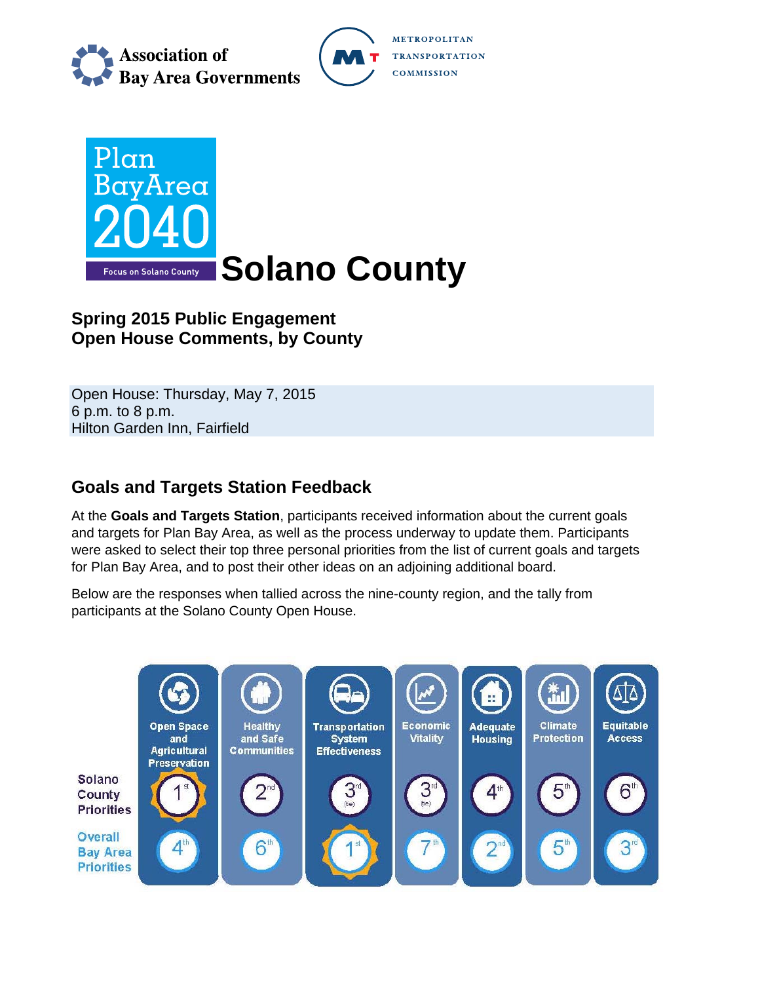

**METROPOLITAN TRANSPORTATION COMMISSION** 



# **Spring 2015 Public Engagement Open House Comments, by County**

Open House: Thursday, May 7, 2015 6 p.m. to 8 p.m. Hilton Garden Inn, Fairfield

# **Goals and Targets Station Feedback**

At the **Goals and Targets Station**, participants received information about the current goals and targets for Plan Bay Area, as well as the process underway to update them. Participants were asked to select their top three personal priorities from the list of current goals and targets for Plan Bay Area, and to post their other ideas on an adjoining additional board.

Below are the responses when tallied across the nine-county region, and the tally from participants at the Solano County Open House.

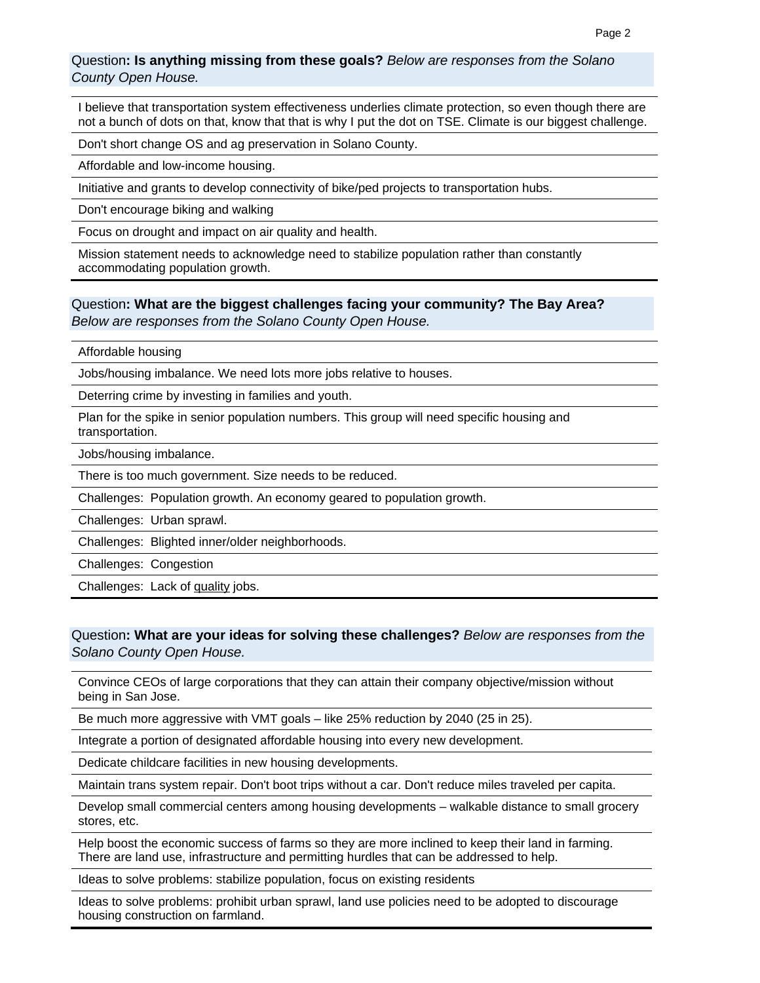Question**: Is anything missing from these goals?** *Below are responses from the Solano County Open House.*

I believe that transportation system effectiveness underlies climate protection, so even though there are not a bunch of dots on that, know that that is why I put the dot on TSE. Climate is our biggest challenge.

Don't short change OS and ag preservation in Solano County.

Affordable and low-income housing.

Initiative and grants to develop connectivity of bike/ped projects to transportation hubs.

Don't encourage biking and walking

Focus on drought and impact on air quality and health.

Mission statement needs to acknowledge need to stabilize population rather than constantly accommodating population growth.

### Question**: What are the biggest challenges facing your community? The Bay Area?**  *Below are responses from the Solano County Open House.*

Affordable housing

Jobs/housing imbalance. We need lots more jobs relative to houses.

Deterring crime by investing in families and youth.

Plan for the spike in senior population numbers. This group will need specific housing and transportation.

Jobs/housing imbalance.

There is too much government. Size needs to be reduced.

Challenges: Population growth. An economy geared to population growth.

Challenges: Urban sprawl.

Challenges: Blighted inner/older neighborhoods.

Challenges: Congestion

Challenges: Lack of quality jobs.

### Question**: What are your ideas for solving these challenges?** *Below are responses from the Solano County Open House.*

Convince CEOs of large corporations that they can attain their company objective/mission without being in San Jose.

Be much more aggressive with VMT goals – like 25% reduction by 2040 (25 in 25).

Integrate a portion of designated affordable housing into every new development.

Dedicate childcare facilities in new housing developments.

Maintain trans system repair. Don't boot trips without a car. Don't reduce miles traveled per capita.

Develop small commercial centers among housing developments – walkable distance to small grocery stores, etc.

Help boost the economic success of farms so they are more inclined to keep their land in farming. There are land use, infrastructure and permitting hurdles that can be addressed to help.

Ideas to solve problems: stabilize population, focus on existing residents

Ideas to solve problems: prohibit urban sprawl, land use policies need to be adopted to discourage housing construction on farmland.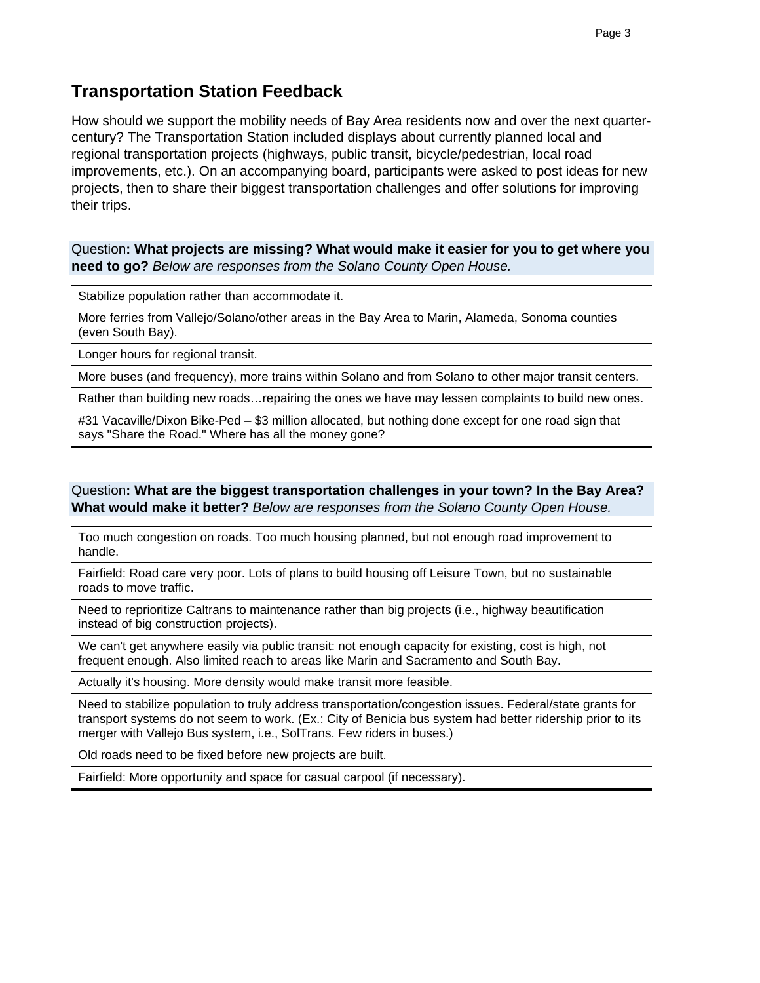### **Transportation Station Feedback**

How should we support the mobility needs of Bay Area residents now and over the next quartercentury? The Transportation Station included displays about currently planned local and regional transportation projects (highways, public transit, bicycle/pedestrian, local road improvements, etc.). On an accompanying board, participants were asked to post ideas for new projects, then to share their biggest transportation challenges and offer solutions for improving their trips.

Question**: What projects are missing? What would make it easier for you to get where you need to go?** *Below are responses from the Solano County Open House.*

Stabilize population rather than accommodate it.

More ferries from Vallejo/Solano/other areas in the Bay Area to Marin, Alameda, Sonoma counties (even South Bay).

Longer hours for regional transit.

More buses (and frequency), more trains within Solano and from Solano to other major transit centers.

Rather than building new roads…repairing the ones we have may lessen complaints to build new ones.

#31 Vacaville/Dixon Bike-Ped – \$3 million allocated, but nothing done except for one road sign that says "Share the Road." Where has all the money gone?

Question**: What are the biggest transportation challenges in your town? In the Bay Area? What would make it better?** *Below are responses from the Solano County Open House.*

Too much congestion on roads. Too much housing planned, but not enough road improvement to handle.

Fairfield: Road care very poor. Lots of plans to build housing off Leisure Town, but no sustainable roads to move traffic.

Need to reprioritize Caltrans to maintenance rather than big projects (i.e., highway beautification instead of big construction projects).

We can't get anywhere easily via public transit: not enough capacity for existing, cost is high, not frequent enough. Also limited reach to areas like Marin and Sacramento and South Bay.

Actually it's housing. More density would make transit more feasible.

Need to stabilize population to truly address transportation/congestion issues. Federal/state grants for transport systems do not seem to work. (Ex.: City of Benicia bus system had better ridership prior to its merger with Vallejo Bus system, i.e., SolTrans. Few riders in buses.)

Old roads need to be fixed before new projects are built.

Fairfield: More opportunity and space for casual carpool (if necessary).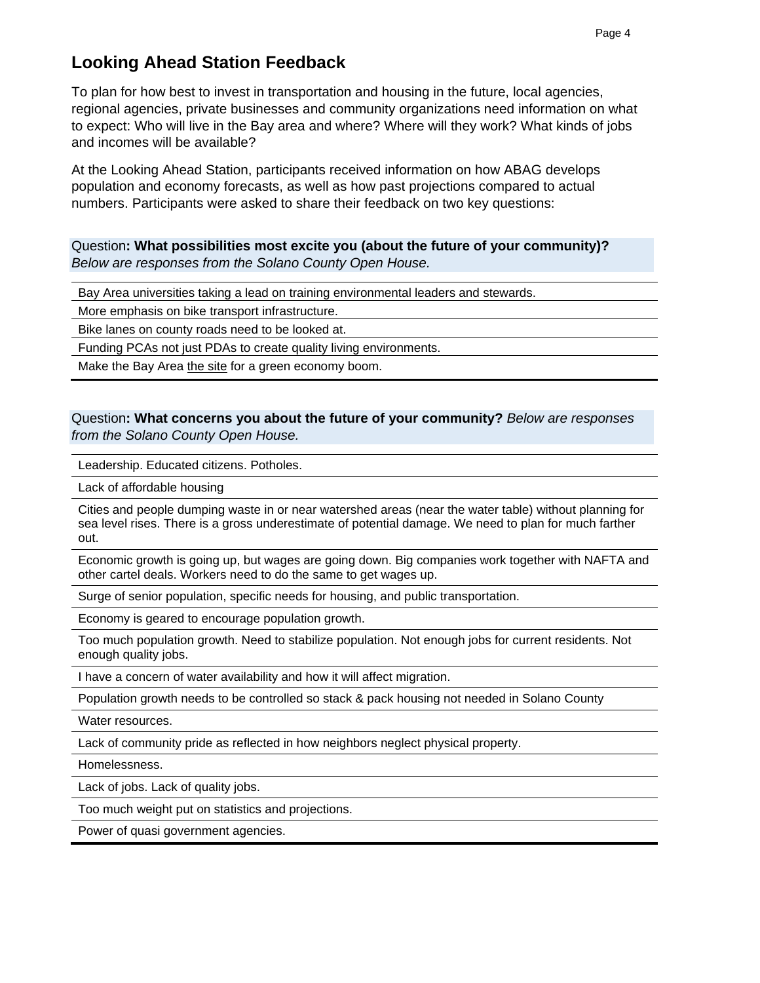# **Looking Ahead Station Feedback**

To plan for how best to invest in transportation and housing in the future, local agencies, regional agencies, private businesses and community organizations need information on what to expect: Who will live in the Bay area and where? Where will they work? What kinds of jobs and incomes will be available?

At the Looking Ahead Station, participants received information on how ABAG develops population and economy forecasts, as well as how past projections compared to actual numbers. Participants were asked to share their feedback on two key questions:

Question**: What possibilities most excite you (about the future of your community)?**  *Below are responses from the Solano County Open House.*

Bay Area universities taking a lead on training environmental leaders and stewards.

More emphasis on bike transport infrastructure.

Bike lanes on county roads need to be looked at.

Funding PCAs not just PDAs to create quality living environments.

Make the Bay Area the site for a green economy boom.

### Question**: What concerns you about the future of your community?** *Below are responses from the Solano County Open House.*

Leadership. Educated citizens. Potholes.

Lack of affordable housing

Cities and people dumping waste in or near watershed areas (near the water table) without planning for sea level rises. There is a gross underestimate of potential damage. We need to plan for much farther out.

Economic growth is going up, but wages are going down. Big companies work together with NAFTA and other cartel deals. Workers need to do the same to get wages up.

Surge of senior population, specific needs for housing, and public transportation.

Economy is geared to encourage population growth.

Too much population growth. Need to stabilize population. Not enough jobs for current residents. Not enough quality jobs.

I have a concern of water availability and how it will affect migration.

Population growth needs to be controlled so stack & pack housing not needed in Solano County

Water resources.

Lack of community pride as reflected in how neighbors neglect physical property.

Homelessness.

Lack of jobs. Lack of quality jobs.

Too much weight put on statistics and projections.

Power of quasi government agencies.